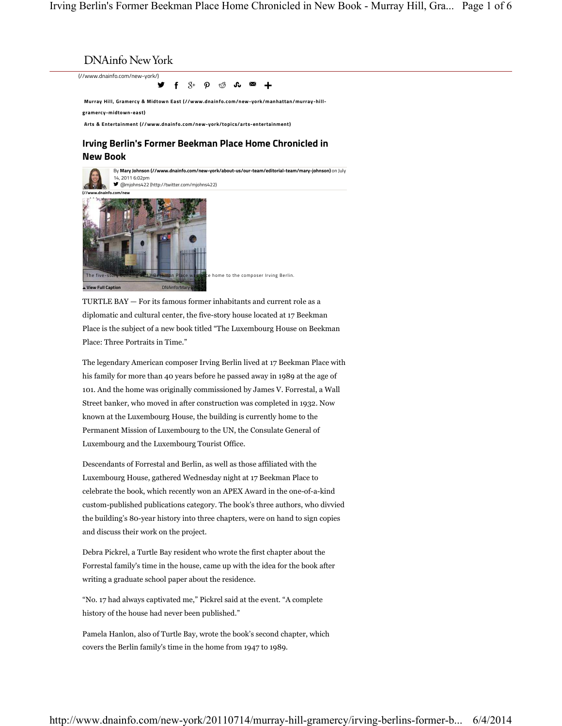(//www.dnainfo.com/new-york/)

INAINTO INEW YOTK<br>
/www.dnainfo.com/new-york/**/**<br> **IF**  $S^+$   $\varphi$   $\circled{S}$  **f.**  $\mathbb{Z}$  **f**<br>
Murray Hill, Gramercy & Midtown East (//www.dnainfo.com/new-york/manhattan/murray-hill-<br>
gramercy-midtown-east)<br>
Arts & Enterta **Murray Hill, Gramercy & Midtown East (//www.dnainfo.com/new-york/manhattan/murray-hillgramercy-midtown-east)** f 8+ p ⊕ **s s** +

**Arts & Entertainment (//www.dnainfo.com/new-york/topics/arts-entertainment)**

## **New Book**



TURTLE BAY — For its famous former inhabitants and current role as a diplomatic and cultural center, the five-story house located at 17 Beekman Place is the subject of a new book titled "The Luxembourg House on Beekman Place: Three Portraits in Time."

The legendary American composer Irving Berlin lived at 17 Beekman Place with his family for more than 40 years before he passed away in 1989 at the age of 101. And the home was originally commissioned by James V. Forrestal, a Wall Street banker, who moved in after construction was completed in 1932. Now known at the Luxembourg House, the building is currently home to the Permanent Mission of Luxembourg to the UN, the Consulate General of Luxembourg and the Luxembourg Tourist Office.

Descendants of Forrestal and Berlin, as well as those affiliated with the Luxembourg House, gathered Wednesday night at 17 Beekman Place to celebrate the book, which recently won an APEX Award in the one-of-a-kind custom-published publications category. The book's three authors, who divvied the building's 80-year history into three chapters, were on hand to sign copies and discuss their work on the project.

Debra Pickrel, a Turtle Bay resident who wrote the first chapter about the Forrestal family's time in the house, came up with the idea for the book after writing a graduate school paper about the residence.

"No. 17 had always captivated me," Pickrel said at the event. "A complete history of the house had never been published."

Pamela Hanlon, also of Turtle Bay, wrote the book's second chapter, which covers the Berlin family's time in the home from 1947 to 1989.